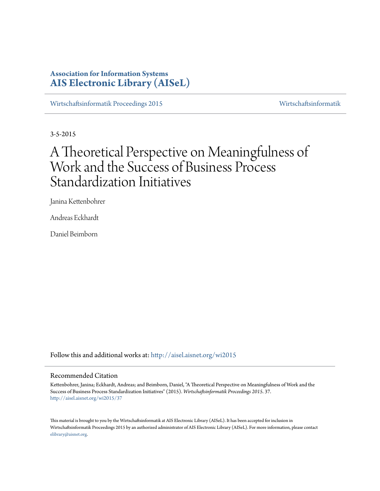# **Association for Information Systems [AIS Electronic Library \(AISeL\)](http://aisel.aisnet.org?utm_source=aisel.aisnet.org%2Fwi2015%2F37&utm_medium=PDF&utm_campaign=PDFCoverPages)**

[Wirtschaftsinformatik Proceedings 2015](http://aisel.aisnet.org/wi2015?utm_source=aisel.aisnet.org%2Fwi2015%2F37&utm_medium=PDF&utm_campaign=PDFCoverPages) [Wirtschaftsinformatik](http://aisel.aisnet.org/wi?utm_source=aisel.aisnet.org%2Fwi2015%2F37&utm_medium=PDF&utm_campaign=PDFCoverPages)

3-5-2015

# A Theoretical Perspective on Meaningfulness of Work and the Success of Business Process Standardization Initiatives

Janina Kettenbohrer

Andreas Eckhardt

Daniel Beimborn

Follow this and additional works at: [http://aisel.aisnet.org/wi2015](http://aisel.aisnet.org/wi2015?utm_source=aisel.aisnet.org%2Fwi2015%2F37&utm_medium=PDF&utm_campaign=PDFCoverPages)

## Recommended Citation

Kettenbohrer, Janina; Eckhardt, Andreas; and Beimborn, Daniel, "A Theoretical Perspective on Meaningfulness of Work and the Success of Business Process Standardization Initiatives" (2015). *Wirtschaftsinformatik Proceedings 2015*. 37. [http://aisel.aisnet.org/wi2015/37](http://aisel.aisnet.org/wi2015/37?utm_source=aisel.aisnet.org%2Fwi2015%2F37&utm_medium=PDF&utm_campaign=PDFCoverPages)

This material is brought to you by the Wirtschaftsinformatik at AIS Electronic Library (AISeL). It has been accepted for inclusion in Wirtschaftsinformatik Proceedings 2015 by an authorized administrator of AIS Electronic Library (AISeL). For more information, please contact [elibrary@aisnet.org.](mailto:elibrary@aisnet.org%3E)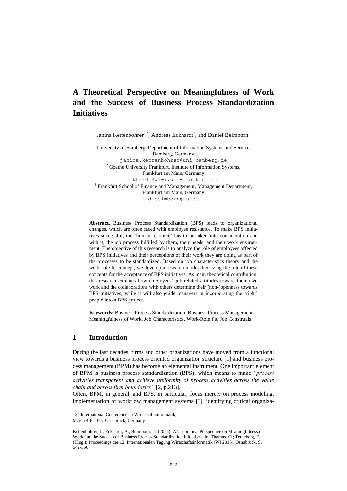# **A Theoretical Perspective on Meaningfulness of Work and the Success of Business Process Standardization Initiatives**

Janina Kettenbohrer<sup>1,\*</sup>, Andreas Eckhardt<sup>2</sup>, and Daniel Beimborn<sup>3</sup>

<sup>1</sup> University of Bamberg, Department of Information Systems and Services, Bamberg, Germany janina.kettenbohrer@uni-bamberg.de  $2$  Goethe University Frankfurt, Institute of Information Systems, Frankfurt am Main, Germany [eckhardt@wiwi.uni-frankfurt.de](mailto:echardt@wiwi.uni-frankfurt.de) <sup>3</sup> Frankfurt School of Finance and Management, Management Department, Frankfurt am Main, Germany d.beimborn@fs.de

**Abstract.** Business Process Standardization (BPS) leads to organizational changes, which are often faced with employee resistance. To make BPS initiatives successful, the 'human resource' has to be taken into consideration and with it, the job process fulfilled by them, their needs, and their work environment. The objective of this research is to analyze the role of employees affected by BPS initiatives and their perceptions of their work they are doing as part of the processes to be standardized. Based on job characteristics theory and the work-role fit concept, we develop a research model theorizing the role of these concepts for the acceptance of BPS initiatives. As main theoretical contribution, this research explains how employees' job-related attitudes toward their own work and the collaborations with others determine their (non-)openness towards BPS initiatives, while it will also guide managers in incorporating the 'right' people into a BPS project.

**Keywords:** Business Process Standardization, Business Process Management, Meaningfulness of Work, Job Characteristics, Work-Role Fit, Job Construals

## **1 Introduction**

During the last decades, firms and other organizations have moved from a functional view towards a business process oriented organization structure [1] and business process management (BPM) has become an elemental instrument. One important element of BPM is business process standardization (BPS), which means to make *"process activities transparent and achieve uniformity of process activities across the value chain and across firm boundaries"* [2, p.213].

Often, BPM, in general, and BPS, in particular, focus merely on process modeling, implementation of workflow management systems [3], identifying critical organiza-

<sup>12&</sup>lt;sup>th</sup> International Conference on Wirtschaftsinformatik, March 4-6 2015, Osnabrück, Germany

Kettenbohrer, J.; Eckhardt, A.; Beimborn, D. (2015): A Theoretical Perspective on Meaningfulness of Work and the Success of Business Process Standardization Initiatives, in: Thomas. O.; Teuteberg, F. (Hrsg.): Proceedings der 12. Internationalen Tagung Wirtschaftsinformatik (WI 2015), Osnabrück, S. 542-556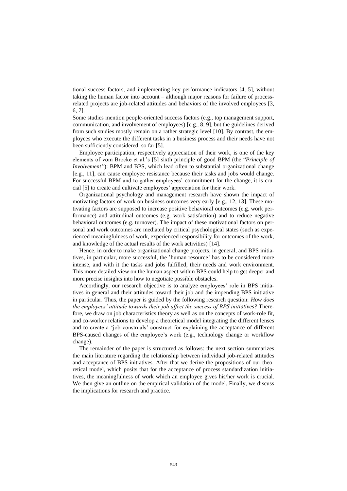tional success factors, and implementing key performance indicators [4, 5], without taking the human factor into account – although major reasons for failure of processrelated projects are job-related attitudes and behaviors of the involved employees [3, 6, 7].

Some studies mention people-oriented success factors (e.g., top management support, communication, and involvement of employees) [e.g., 8, 9], but the guidelines derived from such studies mostly remain on a rather strategic level [10]. By contrast, the employees who execute the different tasks in a business process and their needs have not been sufficiently considered, so far [5].

Employee participation, respectively appreciation of their work, is one of the key elements of vom Brocke et al.'s [5] sixth principle of good BPM (the "*Principle of Involvement"*): BPM and BPS, which lead often to substantial organizational change [e.g., 11], can cause employee resistance because their tasks and jobs would change. For successful BPM and to gather employees' commitment for the change, it is crucial [5] to create and cultivate employees' appreciation for their work.

Organizational psychology and management research have shown the impact of motivating factors of work on business outcomes very early [e.g., 12, 13]. These motivating factors are supposed to increase positive behavioral outcomes (e.g. work performance) and attitudinal outcomes (e.g. work satisfaction) and to reduce negative behavioral outcomes (e.g. turnover). The impact of these motivational factors on personal and work outcomes are mediated by critical psychological states (such as experienced meaningfulness of work, experienced responsibility for outcomes of the work, and knowledge of the actual results of the work activities) [14].

Hence, in order to make organizational change projects, in general, and BPS initiatives, in particular, more successful, the 'human resource' has to be considered more intense, and with it the tasks and jobs fulfilled, their needs and work environment. This more detailed view on the human aspect within BPS could help to get deeper and more precise insights into how to negotiate possible obstacles.

Accordingly, our research objective is to analyze employees' role in BPS initiatives in general and their attitudes toward their job and the impending BPS initiative in particular. Thus, the paper is guided by the following research question: *How does the employees' attitude towards their job affect the success of BPS initiatives?* Therefore, we draw on job characteristics theory as well as on the concepts of work-role fit, and co-worker relations to develop a theoretical model integrating the different lenses and to create a 'job construals' construct for explaining the acceptance of different BPS-caused changes of the employee's work (e.g., technology change or workflow change).

The remainder of the paper is structured as follows: the next section summarizes the main literature regarding the relationship between individual job-related attitudes and acceptance of BPS initiatives. After that we derive the propositions of our theoretical model, which posits that for the acceptance of process standardization initiatives, the meaningfulness of work which an employee gives his/her work is crucial. We then give an outline on the empirical validation of the model. Finally, we discuss the implications for research and practice.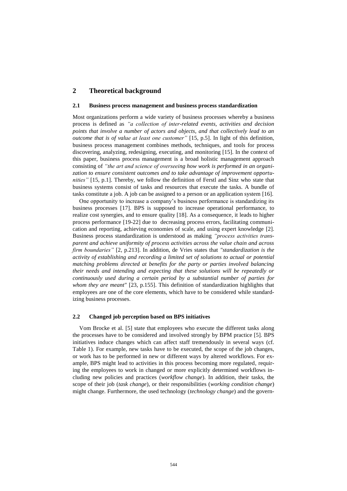# **2 Theoretical background**

#### **2.1 Business process management and business process standardization**

Most organizations perform a wide variety of business processes whereby a business process is defined as *"a collection of inter-related events, activities and decision*  points that involve a number of actors and objects, and that collectively lead to an *outcome that is of value at least one customer"* [15, p.5]. In light of this definition, business process management combines methods, techniques, and tools for process discovering, analyzing, redesigning, executing, and monitoring [15]. In the context of this paper, business process management is a broad holistic management approach consisting of *"the art and science of overseeing how work is performed in an organization to ensure consistent outcomes and to take advantage of improvement opportunities"* [15, p.1]. Thereby, we follow the definition of Ferstl and Sinz who state that business systems consist of tasks and resources that execute the tasks. A bundle of tasks constitute a job. A job can be assigned to a person or an application system [16].

One opportunity to increase a company's business performance is standardizing its business processes [17]. BPS is supposed to increase operational performance, to realize cost synergies, and to ensure quality [18]. As a consequence, it leads to higher process performance [19-22] due to decreasing process errors, facilitating communication and reporting, achieving economies of scale, and using expert knowledge [2]. Business process standardization is understood as making *"process activities transparent and achieve uniformity of process activities across the value chain and across firm boundaries"* [2, p.213]. In addition, de Vries states that *"standardization is the activity of establishing and recording a limited set of solutions to actual or potential matching problems directed at benefits for the party or parties involved balancing their needs and intending and expecting that these solutions will be repeatedly or continuously used during a certain period by a substantial number of parties for whom they are meant"* [23, p.155]. This definition of standardization highlights that employees are one of the core elements, which have to be considered while standardizing business processes.

#### **2.2 Changed job perception based on BPS initiatives**

Vom Brocke et al. [5] state that employees who execute the different tasks along the processes have to be considered and involved strongly by BPM practice [5]. BPS initiatives induce changes which can affect staff tremendously in several ways (cf. [Table](#page-4-0) 1). For example, new tasks have to be executed, the scope of the job changes, or work has to be performed in new or different ways by altered workflows. For example, BPS might lead to activities in this process becoming more regulated, requiring the employees to work in changed or more explicitly determined workflows including new policies and practices (*workflow change*). In addition, their tasks, the scope of their job (*task change*), or their responsibilities (*working condition change*) might change. Furthermore, the used technology (*technology change*) and the govern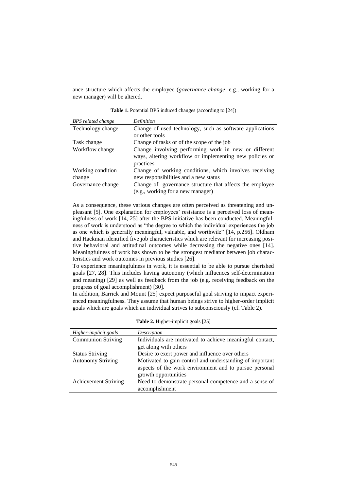<span id="page-4-0"></span>ance structure which affects the employee (*governance change*, e.g., working for a new manager) will be altered.

**Table 1.** Potential BPS induced changes (according to [24])

| BPS related change | Definition                                               |
|--------------------|----------------------------------------------------------|
| Technology change  | Change of used technology, such as software applications |
|                    | or other tools                                           |
| Task change        | Change of tasks or of the scope of the job               |
| Workflow change    | Change involving performing work in new or different     |
|                    | ways, altering workflow or implementing new policies or  |
|                    | practices                                                |
| Working condition  | Change of working conditions, which involves receiving   |
| change             | new responsibilities and a new status                    |
| Governance change  | Change of governance structure that affects the employee |
|                    | (e.g., working for a new manager)                        |

As a consequence, these various changes are often perceived as threatening and unpleasant [5]. One explanation for employees' resistance is a perceived loss of meaningfulness of work [14, 25] after the BPS initiative has been conducted. Meaningfulness of work is understood as "the degree to which the individual experiences the job as one which is generally meaningful, valuable, and worthwile" [14, p.256]. Oldham and Hackman identified five job characteristics which are relevant for increasing positive behavioral and attitudinal outcomes while decreasing the negative ones [14]. Meaningfulness of work has shown to be the strongest mediator between job characteristics and work outcomes in previous studies [26].

To experience meaningfulness in work, it is essential to be able to pursue cherished goals [27, 28]. This includes having autonomy (which influences self-determination and meaning) [29] as well as feedback from the job (e.g. receiving feedback on the progress of goal accomplishment) [30].

In addition, Barrick and Mount [25] expect purposeful goal striving to impact experienced meaningfulness. They assume that human beings strive to higher-order implicit goals which are goals which an individual strives to subconsciously (cf. [Table 2\)](#page-4-1).

<span id="page-4-1"></span>

| Higher-implicit goals       | Description                                                                                                                                |
|-----------------------------|--------------------------------------------------------------------------------------------------------------------------------------------|
| <b>Communion Striving</b>   | Individuals are motivated to achieve meaningful contact,<br>get along with others                                                          |
| <b>Status Striving</b>      | Desire to exert power and influence over others                                                                                            |
| <b>Autonomy Striving</b>    | Motivated to gain control and understanding of important<br>aspects of the work environment and to pursue personal<br>growth opportunities |
| <b>Achievement Striving</b> | Need to demonstrate personal competence and a sense of<br>accomplishment                                                                   |

**Table 2.** Higher-implicit goals [25]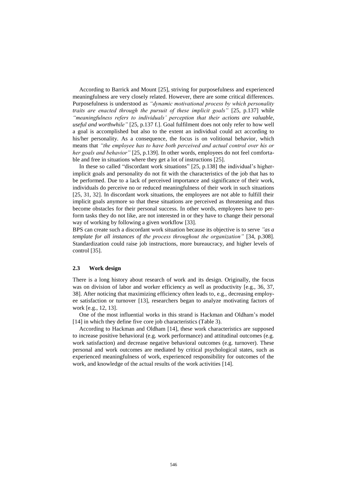According to Barrick and Mount [25], striving for purposefulness and experienced meaningfulness are very closely related. However, there are some critical differences. Purposefulness is understood as *"dynamic motivational process by which personality traits are enacted through the pursuit of these implicit goals"* [25, p.137] while *"meaningfulness refers to individuals' perception that their actions are valuable, useful and worthwhile"* [25, p.137 f.]. Goal fulfilment does not only refer to how well a goal is accomplished but also to the extent an individual could act according to his/her personality. As a consequence, the focus is on volitional behavior, which means that *"the employee has to have both perceived and actual control over his or her goals and behavior"* [25, p.139]. In other words, employees do not feel comfortable and free in situations where they get a lot of instructions [25].

In these so called "discordant work situations" [25, p.138] the individual's higherimplicit goals and personality do not fit with the characteristics of the job that has to be performed. Due to a lack of perceived importance and significance of their work, individuals do perceive no or reduced meaningfulness of their work in such situations [25, 31, 32]. In discordant work situations, the employees are not able to fulfill their implicit goals anymore so that these situations are perceived as threatening and thus become obstacles for their personal success. In other words, employees have to perform tasks they do not like, are not interested in or they have to change their personal way of working by following a given workflow [33].

BPS can create such a discordant work situation because its objective is to serve *"as a template for all instances of the process throughout the organization*" [34, p.308]. Standardization could raise job instructions, more bureaucracy, and higher levels of control [35].

#### **2.3 Work design**

There is a long history about research of work and its design. Originally, the focus was on division of labor and worker efficiency as well as productivity [e.g., 36, 37, 38]. After noticing that maximizing efficiency often leads to, e.g., decreasing employee satisfaction or turnover [13], researchers began to analyze motivating factors of work [e.g., 12, 13].

One of the most influential works in this strand is Hackman and Oldham's model [14] in which they define five core job characteristics [\(Table 3\)](#page-6-0).

According to Hackman and Oldham [14], these work characteristics are supposed to increase positive behavioral (e.g. work performance) and attitudinal outcomes (e.g. work satisfaction) and decrease negative behavioral outcomes (e.g. turnover). These personal and work outcomes are mediated by critical psychological states, such as experienced meaningfulness of work, experienced responsibility for outcomes of the work, and knowledge of the actual results of the work activities [14].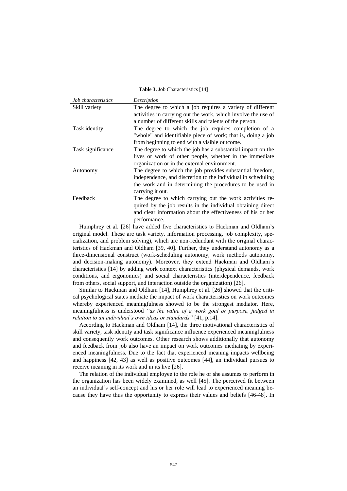**Table 3.** Job Characteristics [14]

<span id="page-6-0"></span>

| <i>Job characteristics</i> | Description                                                   |
|----------------------------|---------------------------------------------------------------|
| Skill variety              | The degree to which a job requires a variety of different     |
|                            | activities in carrying out the work, which involve the use of |
|                            | a number of different skills and talents of the person.       |
| Task identity              | The degree to which the job requires completion of a          |
|                            | "whole" and identifiable piece of work; that is, doing a job  |
|                            | from beginning to end with a visible outcome.                 |
| Task significance          | The degree to which the job has a substantial impact on the   |
|                            | lives or work of other people, whether in the immediate       |
|                            | organization or in the external environment.                  |
| Autonomy                   | The degree to which the job provides substantial freedom,     |
|                            | independence, and discretion to the individual in scheduling  |
|                            | the work and in determining the procedures to be used in      |
|                            | carrying it out.                                              |
| Feedback                   | The degree to which carrying out the work activities re-      |
|                            | quired by the job results in the individual obtaining direct  |
|                            | and clear information about the effectiveness of his or her   |
|                            | performance.                                                  |

Humphrey et al. [26] have added five characteristics to Hackman and Oldham's original model. These are task variety, information processing, job complexity, specialization, and problem solving), which are non-redundant with the original characteristics of Hackman and Oldham [39, 40]. Further, they understand autonomy as a three-dimensional construct (work-scheduling autonomy, work methods autonomy, and decision-making autonomy). Moreover, they extend Hackman and Oldham's characteristics [14] by adding work context characteristics (physical demands, work conditions, and ergonomics) and social characteristics (interdependence, feedback from others, social support, and interaction outside the organization) [26].

Similar to Hackman and Oldham [14], Humphrey et al. [26] showed that the critical psychological states mediate the impact of work characteristics on work outcomes whereby experienced meaningfulness showed to be the strongest mediator. Here, meaningfulness is understood *"as the value of a work goal or purpose, judged in relation to an individual's own ideas or standards"* [41, p.14].

According to Hackman and Oldham [14], the three motivational characteristics of skill variety, task identity and task significance influence experienced meaningfulness and consequently work outcomes. Other research shows additionally that autonomy and feedback from job also have an impact on work outcomes mediating by experienced meaningfulness. Due to the fact that experienced meaning impacts wellbeing and happiness [42, 43] as well as positive outcomes [44], an individual pursues to receive meaning in its work and in its live [26].

The relation of the individual employee to the role he or she assumes to perform in the organization has been widely examined, as well [45]. The perceived fit between an individual's self-concept and his or her role will lead to experienced meaning because they have thus the opportunity to express their values and beliefs [46-48]. In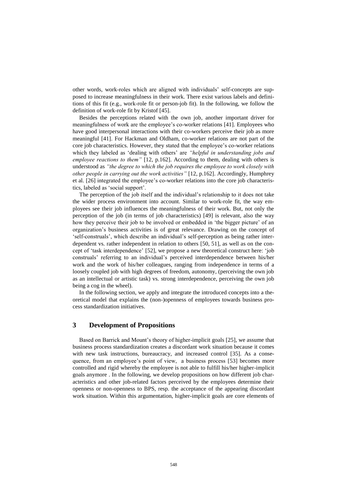other words, work-roles which are aligned with individuals' self-concepts are supposed to increase meaningfulness in their work. There exist various labels and definitions of this fit (e.g., work-role fit or person-job fit). In the following, we follow the definition of work-role fit by Kristof [45].

Besides the perceptions related with the own job, another important driver for meaningfulness of work are the employee's co-worker relations [41]. Employees who have good interpersonal interactions with their co-workers perceive their job as more meaningful [41]. For Hackman and Oldham, co-worker relations are not part of the core job characteristics. However, they stated that the employee's co-worker relations which they labeled as 'dealing with others' are *"helpful in understanding jobs and employee reactions to them"* [12, p.162]. According to them, dealing with others is understood as *"the degree to which the job requires the employee to work closely with other people in carrying out the work activities"* [12, p.162]. Accordingly, Humphrey et al. [26] integrated the employee's co-worker relations into the core job characteristics, labeled as 'social support'.

The perception of the job itself and the individual's relationship to it does not take the wider process environment into account. Similar to work-role fit, the way employees see their job influences the meaningfulness of their work. But, not only the perception of the job (in terms of job characteristics) [49] is relevant, also the way how they perceive their job to be involved or embedded in 'the bigger picture' of an organization's business activities is of great relevance. Drawing on the concept of 'self-construals', which describe an individual's self-perception as being rather interdependent vs. rather independent in relation to others [50, 51], as well as on the concept of 'task interdependence' [52], we propose a new theoretical construct here: 'job construals' referring to an individual's perceived interdependence between his/her work and the work of his/her colleagues, ranging from independence in terms of a loosely coupled job with high degrees of freedom, autonomy, (perceiving the own job as an intellectual or artistic task) vs. strong interdependence, perceiving the own job being a cog in the wheel).

In the following section, we apply and integrate the introduced concepts into a theoretical model that explains the (non-)openness of employees towards business process standardization initiatives.

# **3 Development of Propositions**

Based on Barrick and Mount's theory of higher-implicit goals [25], we assume that business process standardization creates a discordant work situation because it comes with new task instructions, bureaucracy, and increased control [35]. As a consequence, from an employee's point of view, a business process [53] becomes more controlled and rigid whereby the employee is not able to fulfill his/her higher-implicit goals anymore . In the following, we develop propositions on how different job characteristics and other job-related factors perceived by the employees determine their openness or non-openness to BPS, resp. the acceptance of the appearing discordant work situation. Within this argumentation, higher-implicit goals are core elements of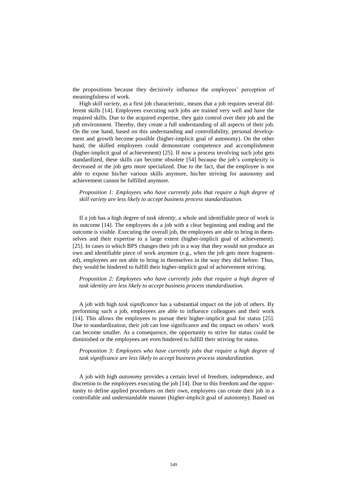the propositions because they decisively influence the employees' perception of meaningfulness of work.

High *skill variety*, as a first job characteristic, means that a job requires several different skills [14]. Employees executing such jobs are trained very well and have the required skills. Due to the acquired expertise, they gain control over their job and the job environment. Thereby, they create a full understanding of all aspects of their job. On the one hand, based on this understanding and controllability, personal development and growth become possible (higher-implicit goal of autonomy). On the other hand, the skilled employees could demonstrate competence and accomplishment (higher-implicit goal of achievement) [25]. If now a process involving such jobs gets standardized, these skills can become obsolete [54] because the job's complexity is decreased or the job gets more specialized. Due to the fact, that the employee is not able to expose his/her various skills anymore, his/her striving for autonomy and achievement cannot be fulfilled anymore.

*Proposition 1: Employees who have currently jobs that require a high degree of skill variety are less likely to accept business process standardization.* 

If a job has a high degree of *task identity*, a whole and identifiable piece of work is its outcome [14]. The employees do a job with a clear beginning and ending and the outcome is visible. Executing the overall job, the employees are able to bring in themselves and their expertise to a large extent (higher-implicit goal of achievement). [25]. In cases in which BPS changes their job in a way that they would not produce an own and identifiable piece of work anymore (e.g., when the job gets more fragmented), employees are not able to bring in themselves in the way they did before. Thus, they would be hindered to fulfill their higher-implicit goal of achievement striving.

*Proposition 2: Employees who have currently jobs that require a high degree of task identity are less likely to accept business process standardization.* 

A job with high *task significance* has a substantial impact on the job of others. By performing such a job, employees are able to influence colleagues and their work [14]. This allows the employees to pursue their higher-implicit goal for status [25]. Due to standardization, their job can lose significance and the impact on others' work can become smaller. As a consequence, the opportunity to strive for status could be diminished or the employees are even hindered to fulfill their striving for status.

*Proposition 3: Employees who have currently jobs that require a high degree of task significance are less likely to accept business process standardization.*

A job with high *autonomy* provides a certain level of freedom, independence, and discretion to the employees executing the job [14]. Due to this freedom and the opportunity to define applied procedures on their own, employees can create their job in a controllable and understandable manner (higher-implicit goal of autonomy). Based on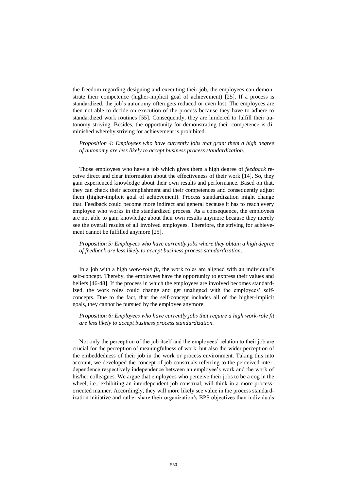the freedom regarding designing and executing their job, the employees can demonstrate their competence (higher-implicit goal of achievement) [25]. If a process is standardized, the job's autonomy often gets reduced or even lost. The employees are then not able to decide on execution of the process because they have to adhere to standardized work routines [55]. Consequently, they are hindered to fulfill their autonomy striving. Besides, the opportunity for demonstrating their competence is diminished whereby striving for achievement is prohibited.

*Proposition 4: Employees who have currently jobs that grant them a high degree of autonomy are less likely to accept business process standardization.*

Those employees who have a job which gives them a high degree of *feedback* receive direct and clear information about the effectiveness of their work [14]. So, they gain experienced knowledge about their own results and performance. Based on that, they can check their accomplishment and their competences and consequently adjust them (higher-implicit goal of achievement). Process standardization might change that. Feedback could become more indirect and general because it has to reach every employee who works in the standardized process. As a consequence, the employees are not able to gain knowledge about their own results anymore because they merely see the overall results of all involved employees. Therefore, the striving for achievement cannot be fulfilled anymore [25].

*Proposition 5: Employees who have currently jobs where they obtain a high degree of feedback are less likely to accept business process standardization*.

In a job with a high *work-role fit*, the work roles are aligned with an individual's self-concept. Thereby, the employees have the opportunity to express their values and beliefs [46-48]. If the process in which the employees are involved becomes standardized, the work roles could change and get unaligned with the employees' selfconcepts. Due to the fact, that the self-concept includes all of the higher-implicit goals, they cannot be pursued by the employee anymore.

#### *Proposition 6: Employees who have currently jobs that require a high work-role fit are less likely to accept business process standardization.*

Not only the perception of the job itself and the employees' relation to their job are crucial for the perception of meaningfulness of work, but also the wider perception of the embeddedness of their job in the work or process environment. Taking this into account, we developed the concept of job construals referring to the perceived interdependence respectively independence between an employee's work and the work of his/her colleagues. We argue that employees who perceive their jobs to be a cog in the wheel, i.e., exhibiting an interdependent job construal, will think in a more processoriented manner. Accordingly, they will more likely see value in the process standardization initiative and rather share their organization's BPS objectives than individuals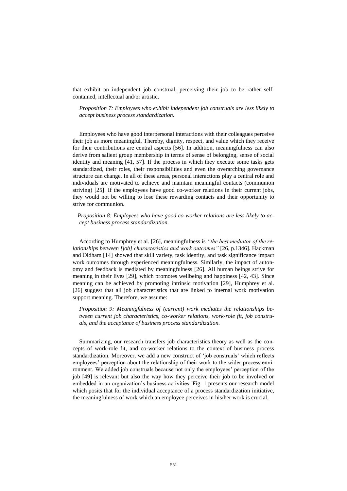that exhibit an independent job construal, perceiving their job to be rather selfcontained, intellectual and/or artistic.

*Proposition 7: Employees who exhibit independent job construals are less likely to accept business process standardization.* 

Employees who have good interpersonal interactions with their colleagues perceive their job as more meaningful. Thereby, dignity, respect, and value which they receive for their contributions are central aspects [56]. In addition, meaningfulness can also derive from salient group membership in terms of sense of belonging, sense of social identity and meaning [41, 57]. If the process in which they execute some tasks gets standardized, their roles, their responsibilities and even the overarching governance structure can change. In all of these areas, personal interactions play a central role and individuals are motivated to achieve and maintain meaningful contacts (communion striving) [25]. If the employees have good co-worker relations in their current jobs, they would not be willing to lose these rewarding contacts and their opportunity to strive for communion.

*Proposition 8: Employees who have good co-worker relations are less likely to accept business process standardization.* 

According to Humphrey et al. [26], meaningfulness is *"the best mediator of the relationships between [job] characteristics and work outcomes"* [26, p.1346]. Hackman and Oldham [14] showed that skill variety, task identity, and task significance impact work outcomes through experienced meaningfulness. Similarly, the impact of autonomy and feedback is mediated by meaningfulness [26]. All human beings strive for meaning in their lives [29], which promotes wellbeing and happiness [42, 43]. Since meaning can be achieved by promoting intrinsic motivation [29], Humphrey et al. [26] suggest that all job characteristics that are linked to internal work motivation support meaning. Therefore, we assume:

*Proposition 9: Meaningfulness of (current) work mediates the relationships between current job characteristics, co-worker relations, work-role fit, job construals, and the acceptance of business process standardization.* 

Summarizing, our research transfers job characteristics theory as well as the concepts of work-role fit, and co-worker relations to the context of business process standardization. Moreover, we add a new construct of 'job construals' which reflects employees' perception about the relationship of their work to the wider process environment. We added job construals because not only the employees' perception of the job [49] is relevant but also the way how they perceive their job to be involved or embedded in an organization's business activities. [Fig. 1](#page-11-0) presents our research model which posits that for the individual acceptance of a process standardization initiative, the meaningfulness of work which an employee perceives in his/her work is crucial.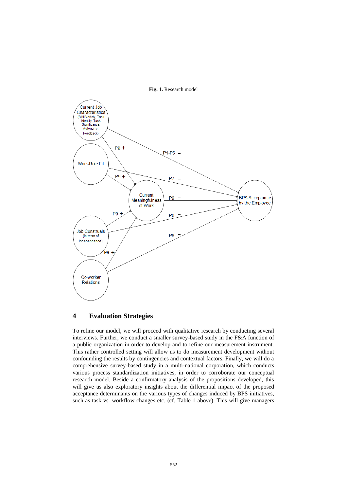

<span id="page-11-0"></span>

# **4 Evaluation Strategies**

To refine our model, we will proceed with qualitative research by conducting several interviews. Further, we conduct a smaller survey-based study in the F&A function of a public organization in order to develop and to refine our measurement instrument. This rather controlled setting will allow us to do measurement development without confounding the results by contingencies and contextual factors. Finally, we will do a comprehensive survey-based study in a multi-national corporation, which conducts various process standardization initiatives, in order to corroborate our conceptual research model. Beside a confirmatory analysis of the propositions developed, this will give us also exploratory insights about the differential impact of the proposed acceptance determinants on the various types of changes induced by BPS initiatives, such as task vs. workflow changes etc. (cf. [Table 1](#page-4-0) above). This will give managers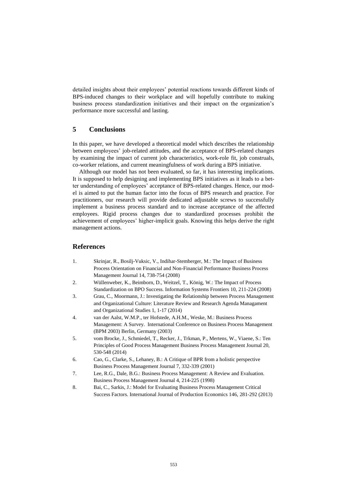detailed insights about their employees' potential reactions towards different kinds of BPS-induced changes to their workplace and will hopefully contribute to making business process standardization initiatives and their impact on the organization's performance more successful and lasting.

# **5 Conclusions**

In this paper, we have developed a theoretical model which describes the relationship between employees' job-related attitudes, and the acceptance of BPS-related changes by examining the impact of current job characteristics, work-role fit, job construals, co-worker relations, and current meaningfulness of work during a BPS initiative.

Although our model has not been evaluated, so far, it has interesting implications. It is supposed to help designing and implementing BPS initiatives as it leads to a better understanding of employees' acceptance of BPS-related changes. Hence, our model is aimed to put the human factor into the focus of BPS research and practice. For practitioners, our research will provide dedicated adjustable screws to successfully implement a business process standard and to increase acceptance of the affected employees. Rigid process changes due to standardized processes prohibit the achievement of employees' higher-implicit goals. Knowing this helps derive the right management actions.

#### **References**

- 1. Skrinjar, R., Bosilj-Vuksic, V., Indihar-Stemberger, M.: The Impact of Business Process Orientation on Financial and Non-Financial Performance Business Process Management Journal 14, 738-754 (2008)
- 2. Wüllenweber, K., Beimborn, D., Weitzel, T., König, W.: The Impact of Process Standardization on BPO Success. Information Systems Frontiers 10, 211-224 (2008)
- 3. Grau, C., Moormann, J.: Investigating the Relationship between Process Management and Organizational Culture: Literature Review and Research Agenda Managament and Organizational Studies 1, 1-17 (2014)
- 4. van der Aalst, W.M.P., ter Hofstede, A.H.M., Weske, M.: Business Process Management: A Survey. International Conference on Business Process Management (BPM 2003) Berlin, Germany (2003)
- 5. vom Brocke, J., Schmiedel, T., Recker, J., Trkman, P., Mertens, W., Viaene, S.: Ten Principles of Good Process Management Business Process Management Journal 20, 530-548 (2014)
- 6. Cao, G., Clarke, S., Lehaney, B.: A Critique of BPR from a holistic perspective Business Process Management Journal 7, 332-339 (2001)
- 7. Lee, R.G., Dale, B.G.: Business Process Management: A Review and Evaluation. Business Process Management Journal 4, 214-225 (1998)
- 8. Bai, C., Sarkis, J.: Model for Evaluating Business Process Management Critical Success Factors. International Journal of Production Economics 146, 281-292 (2013)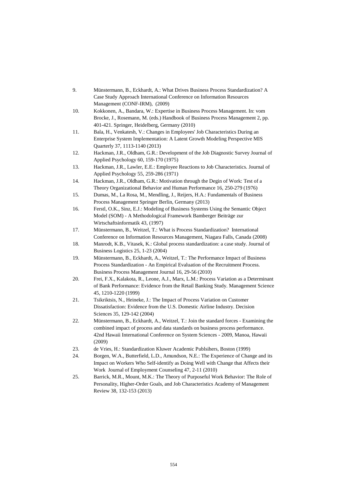| 9.  | Münstermann, B., Eckhardt, A.: What Drives Business Process Standardization? A                    |
|-----|---------------------------------------------------------------------------------------------------|
|     | Case Study Approach International Conference on Information Resources                             |
|     | Management (CONF-IRM), (2009)                                                                     |
| 10. | Kokkonen, A., Bandara, W.: Expertise in Business Process Management. In: vom                      |
|     | Brocke, J., Rosemann, M. (eds.) Handbook of Business Process Management 2, pp.                    |
|     | 401-421. Springer, Heidelberg, Germany (2010)                                                     |
| 11. | Bala, H., Venkatesh, V.: Changes in Employees' Job Characteristics During an                      |
|     | Enterprise System Implementation: A Latent Growth Modeling Perspective MIS                        |
|     | Quarterly 37, 1113-1140 (2013)                                                                    |
| 12. | Hackman, J.R., Oldham, G.R.: Development of the Job Diagnostic Survey Journal of                  |
|     | Applied Psychology 60, 159-170 (1975)                                                             |
| 13. | Hackman, J.R., Lawler, E.E.: Employee Reactions to Job Characteristics. Journal of                |
|     | Applied Psychology 55, 259-286 (1971)                                                             |
| 14. | Hackman, J.R., Oldham, G.R.: Motivation through the Degin of Work: Test of a                      |
|     | Theory Organizational Behavior and Human Performance 16, 250-279 (1976)                           |
| 15. | Dumas, M., La Rosa, M., Mendling, J., Reijers, H.A.: Fundamentals of Business                     |
|     | Process Management Springer Berlin, Germany (2013)                                                |
| 16. | Ferstl, O.K., Sinz, E.J.: Modeling of Business Systems Using the Semantic Object                  |
|     | Model (SOM) - A Methodological Framework Bamberger Beiträge zur                                   |
|     | Wirtschaftsinformatik 43, (1997)                                                                  |
| 17. | Münstermann, B., Weitzel, T.: What is Process Standardization? International                      |
|     | Conference on Information Resources Management, Niagara Falls, Canada (2008)                      |
| 18. | Manrodt, K.B., Vitasek, K.: Global process standardization: a case study. Journal of              |
|     | Business Logistics 25, 1-23 (2004)                                                                |
| 19. | Münstermann, B., Eckhardt, A., Weitzel, T.: The Performance Impact of Business                    |
|     | Process Standardization - An Empirical Evaluation of the Recruitment Process.                     |
|     | Business Process Management Journal 16, 29-56 (2010)                                              |
| 20. | Frei, F.X., Kalakota, R., Leone, A.J., Marx, L.M.: Process Variation as a Determinant             |
|     | of Bank Performance: Evidence from the Retail Banking Study. Management Science                   |
| 21. | 45, 1210-1220 (1999)<br>Tsikriktsis, N., Heineke, J.: The Impact of Process Variation on Customer |
|     | Dissatisfaction: Evidence from the U.S. Domestic Airline Industry. Decision                       |
|     | Sciences 35, 129-142 (2004)                                                                       |
| 22. | Münstermann, B., Eckhardt, A., Weitzel, T.: Join the standard forces - Examining the              |
|     | combined impact of process and data standards on business process performance.                    |
|     | 42nd Hawaii International Conference on System Sciences - 2009, Manoa, Hawaii                     |
|     | (2009)                                                                                            |
| 23. | de Vries, H.: Standardization Kluwer Academic Publsihers, Boston (1999)                           |
| 24. | Borgen, W.A., Butterfield, L.D., Amundson, N.E.: The Experience of Change and its                 |
|     | Impact on Workers Who Self-identify as Doing Well with Change that Affects their                  |
|     | Work Journal of Employment Counseling 47, 2-11 (2010)                                             |
| 25. | Barrick, M.R., Mount, M.K.: The Theory of Purposeful Work Behavior: The Role of                   |
|     | Personality, Higher-Order Goals, and Job Characteristics Academy of Management                    |

Review 38, 132-153 (2013)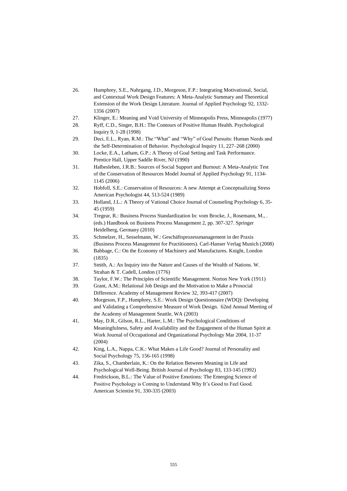- 26. Humphrey, S.E., Nahrgang, J.D., Morgeson, F.P.: Integrating Motivational, Social, and Contextual Work Design Features: A Meta-Analytic Summary and Theoretical Extension of the Work Design Literature. Journal of Applied Psychology 92, 1332- 1356 (2007)
- 27. Klinger, E.: Meaning and Void University of Minneapolis Press, Minneapolis (1977)
- 28. Ryff, C.D., Singer, B.H.: The Contours of Positive Human Health. Psychological Inquiry 9, 1-28 (1998)
- 29. Deci, E.L., Ryan, R.M.: The "What" and "Why" of Goal Pursuits: Human Needs and the Self-Determination of Behavior. Psychological Inquiry 11, 227–268 (2000)
- 30. Locke, E.A., Latham, G.P.: A Theory of Goal Setting and Task Performance. Prentice Hall, Upper Saddle River, NJ (1990)
- 31. Halbesleben, J.R.B.: Sources of Social Support and Burnout: A Meta-Analytic Test of the Conservation of Resources Model Journal of Applied Psychology 91, 1134- 1145 (2006)
- 32. Hobfoll, S.E.: Conservation of Resources: A new Attempt at Conceptualizing Stress American Psychologist 44, 513-524 (1989)
- 33. Holland, J.L.: A Theory of Vational Choice Journal of Counseling Psychology 6, 35- 45 (1959)
- 34. Tregear, R.: Business Process Standardization In: vom Brocke, J., Rosemann, M., . (eds.) Handbook on Business Process Management 2, pp. 307-327. Springer Heidelberg, Germany (2010)
- 35. Schmelzer, H., Sesselmann, W.: Geschäftsprozessmanagement in der Praxis (Business Process Management for Practitioners). Carl-Hanser Verlag Munich (2008)
- 36. Babbage, C.: On the Economy of Machinery and Manufactures. Knight, London (1835)
- 37. Smith, A.: An Inquiry into the Nature and Causes of the Wealth of Nations. W. Strahan & T. Cadell, London (1776)
- 38. Taylor, F.W.: The Principles of Scientific Management. Norton New York (1911)
- 39. Grant, A.M.: Relational Job Design and the Motivation to Make a Prosocial Difference. Academy of Management Review 32, 393-417 (2007)
- 40. Morgeson, F.P., Humphrey, S.E.: Work Design Questionnaire (WDQ): Developing and Validating a Comprehensive Measure of Work Design. 62nd Annual Meeting of the Academy of Management Seattle, WA (2003)
- 41. May, D.R., Gilson, R.L., Harter, L.M.: The Psychological Conditions of Meaningfulness, Safety and Availability and the Engagement of the Human Spirit at Work Journal of Occupational and Organizational Psychology Mar 2004, 11-37 (2004)
- 42. King, L.A., Nappa, C.K.: What Makes a Life Good? Journal of Personality and Social Psychology 75, 156-165 (1998)
- 43. Zika, S., Chamberlain, K.: On the Relation Between Meaning in Life and Psychological Well-Being. British Journal of Psychology 83, 133-145 (1992)
- 44. Fredrickson, B.L.: The Value of Positive Emotions: The Emerging Science of Positive Psychology is Coming to Understand Why It's Good to Feel Good. American Scientist 91, 330-335 (2003)